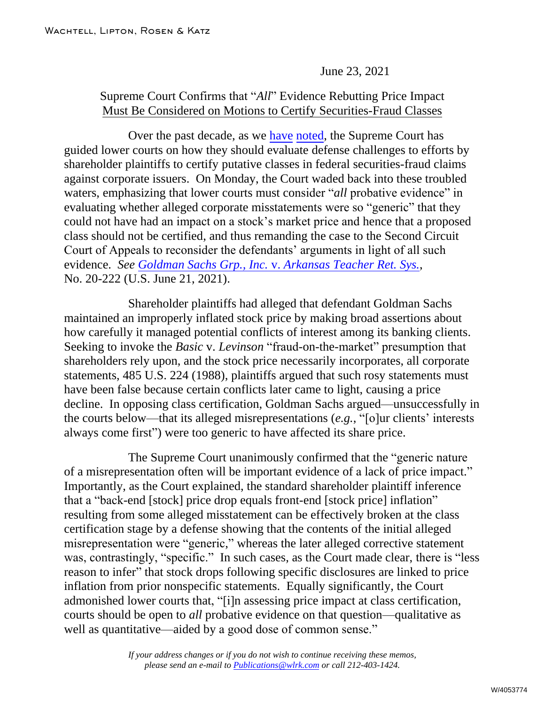## June 23, 2021

## Supreme Court Confirms that "*All*" Evidence Rebutting Price Impact Must Be Considered on Motions to Certify Securities-Fraud Classes

Over the past decade, as w[e have](https://www.wlrk.com/webdocs/wlrknew/ClientMemos/WLRK/WLRK.22323.13.pdf) [noted,](https://www.wlrk.com/webdocs/wlrknew/ClientMemos/WLRK/WLRK.23438.14.pdf) the Supreme Court has guided lower courts on how they should evaluate defense challenges to efforts by shareholder plaintiffs to certify putative classes in federal securities-fraud claims against corporate issuers. On Monday, the Court waded back into these troubled waters, emphasizing that lower courts must consider "*all* probative evidence" in evaluating whether alleged corporate misstatements were so "generic" that they could not have had an impact on a stock's market price and hence that a proposed class should not be certified, and thus remanding the case to the Second Circuit Court of Appeals to reconsider the defendants' arguments in light of all such evidence. *See [Goldman Sachs Grp., Inc.](https://www.supremecourt.gov/opinions/20pdf/20-222_2c83.pdf)* v. *Arkansas Teacher Ret. Sys.*, No. 20-222 (U.S. June 21, 2021).

Shareholder plaintiffs had alleged that defendant Goldman Sachs maintained an improperly inflated stock price by making broad assertions about how carefully it managed potential conflicts of interest among its banking clients. Seeking to invoke the *Basic* v. *Levinson* "fraud-on-the-market" presumption that shareholders rely upon, and the stock price necessarily incorporates, all corporate statements, 485 U.S. 224 (1988), plaintiffs argued that such rosy statements must have been false because certain conflicts later came to light, causing a price decline. In opposing class certification, Goldman Sachs argued—unsuccessfully in the courts below—that its alleged misrepresentations (*e.g.*, "[o]ur clients' interests always come first") were too generic to have affected its share price.

The Supreme Court unanimously confirmed that the "generic nature of a misrepresentation often will be important evidence of a lack of price impact." Importantly, as the Court explained, the standard shareholder plaintiff inference that a "back-end [stock] price drop equals front-end [stock price] inflation" resulting from some alleged misstatement can be effectively broken at the class certification stage by a defense showing that the contents of the initial alleged misrepresentation were "generic," whereas the later alleged corrective statement was, contrastingly, "specific." In such cases, as the Court made clear, there is "less reason to infer" that stock drops following specific disclosures are linked to price inflation from prior nonspecific statements. Equally significantly, the Court admonished lower courts that, "[i]n assessing price impact at class certification, courts should be open to *all* probative evidence on that question—qualitative as well as quantitative—aided by a good dose of common sense."

> *If your address changes or if you do not wish to continue receiving these memos, please send an e-mail to [Publications@wlrk.com](mailto:Publications@wlrk.com) or call 212-403-1424.*